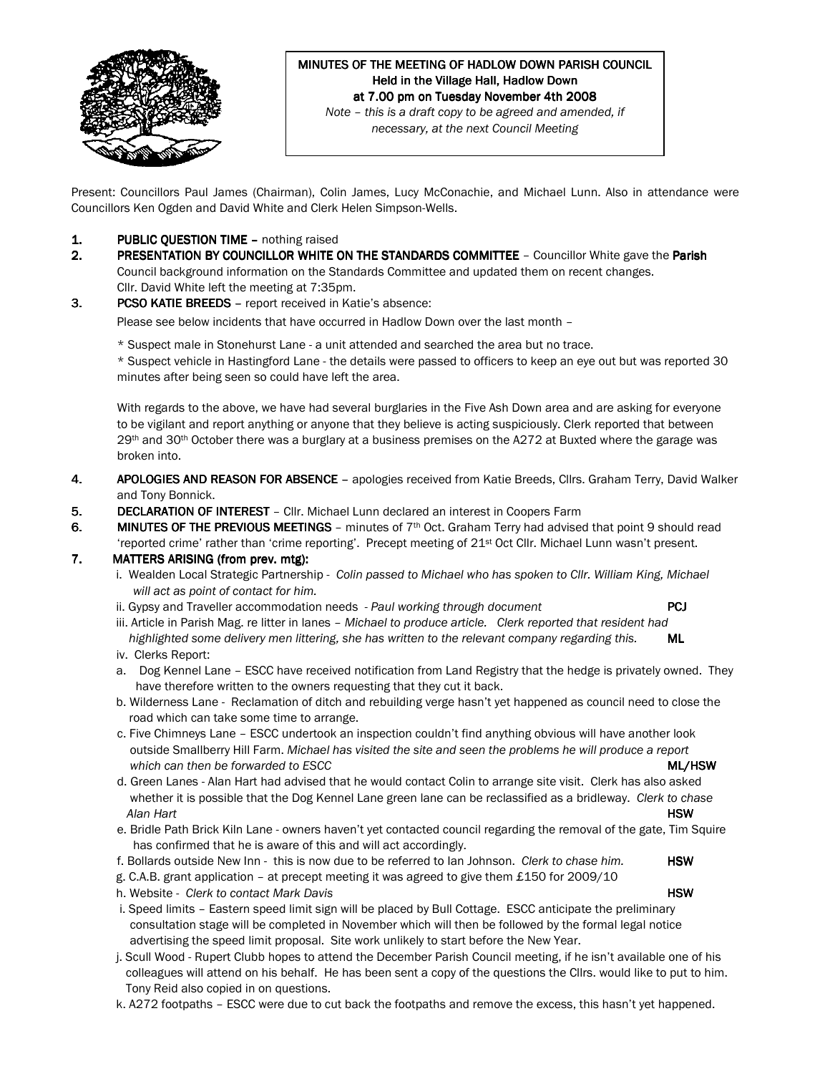

# MINUTES OF THE MEETING OF HADLOW DOWN PARISH COUNCIL Held in the Village Hall, Hadlow Down at 7.00 pm on Tuesday November 4th 2008

Note – this is a draft copy to be agreed and amended, if necessary, at the next Council Meeting

Present: Councillors Paul James (Chairman), Colin James, Lucy McConachie, and Michael Lunn. Also in attendance were Councillors Ken Ogden and David White and Clerk Helen Simpson-Wells.

- 1. PUBLIC QUESTION TIME nothing raised
- 2. PRESENTATION BY COUNCILLOR WHITE ON THE STANDARDS COMMITTEE Councillor White gave the Parish Council background information on the Standards Committee and updated them on recent changes. Cllr. David White left the meeting at 7:35pm.
- 3. PCSO KATIE BREEDS report received in Katie's absence:

Please see below incidents that have occurred in Hadlow Down over the last month –

\* Suspect male in Stonehurst Lane - a unit attended and searched the area but no trace. \* Suspect vehicle in Hastingford Lane - the details were passed to officers to keep an eye out but was reported 30 minutes after being seen so could have left the area.

With regards to the above, we have had several burglaries in the Five Ash Down area and are asking for everyone to be vigilant and report anything or anyone that they believe is acting suspiciously. Clerk reported that between 29<sup>th</sup> and 30<sup>th</sup> October there was a burglary at a business premises on the A272 at Buxted where the garage was broken into.

- 4. APOLOGIES AND REASON FOR ABSENCE apologies received from Katie Breeds, Cllrs. Graham Terry, David Walker and Tony Bonnick.
- 5. DECLARATION OF INTEREST Cllr. Michael Lunn declared an interest in Coopers Farm
- 6. MINUTES OF THE PREVIOUS MEETINGS minutes of  $7<sup>th</sup>$  Oct. Graham Terry had advised that point 9 should read 'reported crime' rather than 'crime reporting'. Precept meeting of 21st Oct Cllr. Michael Lunn wasn't present.

### 7. MATTERS ARISING (from prev. mtg):

- i. Wealden Local Strategic Partnership Colin passed to Michael who has spoken to Cllr. William King, Michael will act as point of contact for him.
- ii. Gypsy and Traveller accommodation needs Paul working through document **PCJ**
- iii. Article in Parish Mag. re litter in lanes Michael to produce article. Clerk reported that resident had highlighted some delivery men littering, she has written to the relevant company regarding this. ML
- iv. Clerks Report:
- a. Dog Kennel Lane ESCC have received notification from Land Registry that the hedge is privately owned. They have therefore written to the owners requesting that they cut it back.
- b. Wilderness Lane Reclamation of ditch and rebuilding verge hasn't yet happened as council need to close the road which can take some time to arrange.
- c. Five Chimneys Lane ESCC undertook an inspection couldn't find anything obvious will have another look outside Smallberry Hill Farm. Michael has visited the site and seen the problems he will produce a report which can then be forwarded to ESCC **ML/HSW** MUSE AND THE SECTION OF THE SECTION OF THE SECTION OF THE SECTION OF THE SECTION OF THE SECTION OF THE SECTION OF THE SECTION OF THE SECTION OF THE SECTION OF THE SECTION OF THE
- d. Green Lanes Alan Hart had advised that he would contact Colin to arrange site visit. Clerk has also asked whether it is possible that the Dog Kennel Lane green lane can be reclassified as a bridleway. Clerk to chase Alan Hart **HSW**
- e. Bridle Path Brick Kiln Lane owners haven't yet contacted council regarding the removal of the gate, Tim Squire has confirmed that he is aware of this and will act accordingly.
- f. Bollards outside New Inn this is now due to be referred to Ian Johnson. Clerk to chase him. HSW
- g. C.A.B. grant application at precept meeting it was agreed to give them £150 for 2009/10
- h. Website Clerk to contact Mark Davis **HSW** and the state of the state of the state of the state of the state of the state of the state of the state of the state of the state of the state of the state of the state of th
- i. Speed limits Eastern speed limit sign will be placed by Bull Cottage. ESCC anticipate the preliminary consultation stage will be completed in November which will then be followed by the formal legal notice advertising the speed limit proposal. Site work unlikely to start before the New Year.
- j. Scull Wood Rupert Clubb hopes to attend the December Parish Council meeting, if he isn't available one of his colleagues will attend on his behalf. He has been sent a copy of the questions the Cllrs. would like to put to him. Tony Reid also copied in on questions.
- k. A272 footpaths ESCC were due to cut back the footpaths and remove the excess, this hasn't yet happened.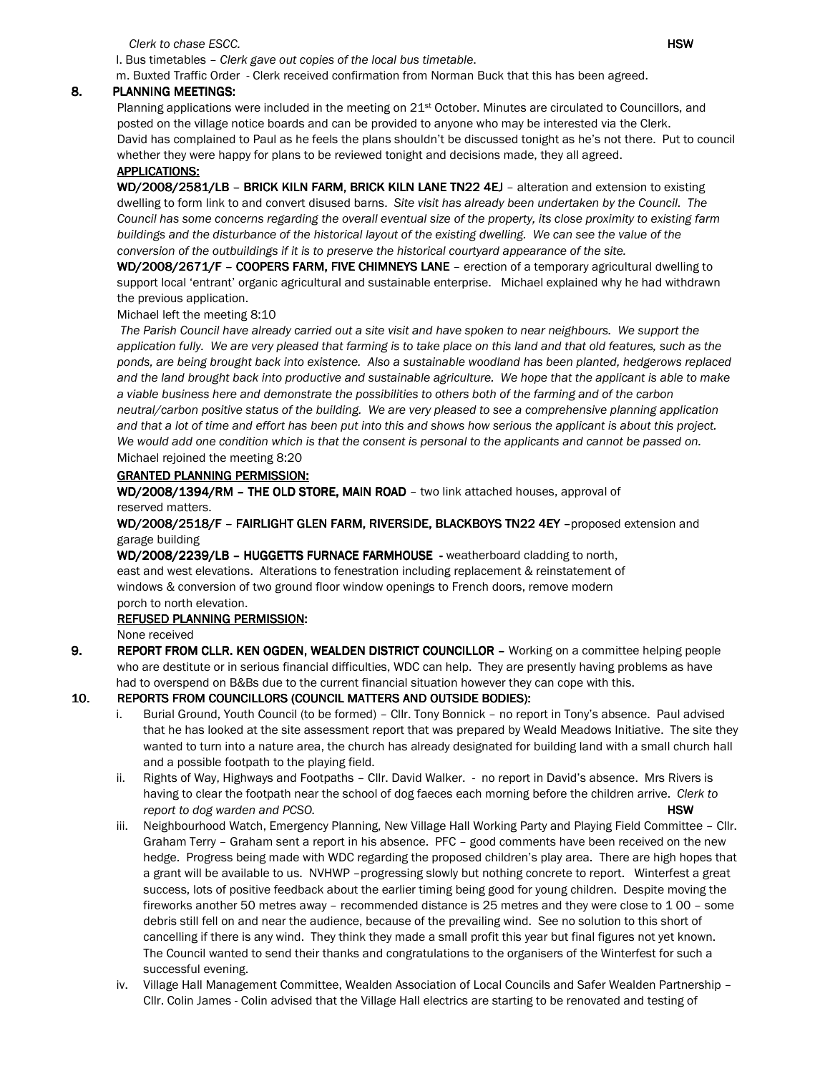Clerk to chase ESCC. **HSW** 

l. Bus timetables – Clerk gave out copies of the local bus timetable.

m. Buxted Traffic Order - Clerk received confirmation from Norman Buck that this has been agreed.

#### 8. PLANNING MEETINGS:

Planning applications were included in the meeting on 21<sup>st</sup> October. Minutes are circulated to Councillors, and posted on the village notice boards and can be provided to anyone who may be interested via the Clerk. David has complained to Paul as he feels the plans shouldn't be discussed tonight as he's not there. Put to council whether they were happy for plans to be reviewed tonight and decisions made, they all agreed.

### APPLICATIONS:

WD/2008/2581/LB - BRICK KILN FARM, BRICK KILN LANE TN22 4EJ - alteration and extension to existing dwelling to form link to and convert disused barns. Site visit has already been undertaken by the Council. The Council has some concerns regarding the overall eventual size of the property, its close proximity to existing farm buildings and the disturbance of the historical layout of the existing dwelling. We can see the value of the conversion of the outbuildings if it is to preserve the historical courtyard appearance of the site.

WD/2008/2671/F - COOPERS FARM, FIVE CHIMNEYS LANE - erection of a temporary agricultural dwelling to support local 'entrant' organic agricultural and sustainable enterprise. Michael explained why he had withdrawn the previous application.

Michael left the meeting 8:10

The Parish Council have already carried out a site visit and have spoken to near neighbours. We support the application fully. We are very pleased that farming is to take place on this land and that old features, such as the ponds, are being brought back into existence. Also a sustainable woodland has been planted, hedgerows replaced and the land brought back into productive and sustainable agriculture. We hope that the applicant is able to make a viable business here and demonstrate the possibilities to others both of the farming and of the carbon neutral/carbon positive status of the building. We are very pleased to see a comprehensive planning application and that a lot of time and effort has been put into this and shows how serious the applicant is about this project. We would add one condition which is that the consent is personal to the applicants and cannot be passed on. Michael rejoined the meeting 8:20

#### GRANTED PLANNING PERMISSION:

WD/2008/1394/RM - THE OLD STORE, MAIN ROAD - two link attached houses, approval of reserved matters.

WD/2008/2518/F - FAIRLIGHT GLEN FARM, RIVERSIDE, BLACKBOYS TN22 4EY - proposed extension and garage building

WD/2008/2239/LB - HUGGETTS FURNACE FARMHOUSE - weatherboard cladding to north, east and west elevations. Alterations to fenestration including replacement & reinstatement of windows & conversion of two ground floor window openings to French doors, remove modern porch to north elevation.

#### REFUSED PLANNING PERMISSION:

None received

9. REPORT FROM CLLR. KEN OGDEN, WEALDEN DISTRICT COUNCILLOR – Working on a committee helping people who are destitute or in serious financial difficulties, WDC can help. They are presently having problems as have had to overspend on B&Bs due to the current financial situation however they can cope with this.

### 10. REPORTS FROM COUNCILLORS (COUNCIL MATTERS AND OUTSIDE BODIES):

- i. Burial Ground, Youth Council (to be formed) Cllr. Tony Bonnick no report in Tony's absence. Paul advised that he has looked at the site assessment report that was prepared by Weald Meadows Initiative. The site they wanted to turn into a nature area, the church has already designated for building land with a small church hall and a possible footpath to the playing field.
- ii. Rights of Way, Highways and Footpaths Cllr. David Walker. no report in David's absence. Mrs Rivers is having to clear the footpath near the school of dog faeces each morning before the children arrive. Clerk to report to dog warden and PCSO. The state of the state of the state of the state of the state of the state of the state of the state of the state of the state of the state of the state of the state of the state of the state
- iii. Neighbourhood Watch, Emergency Planning, New Village Hall Working Party and Playing Field Committee Cllr. Graham Terry – Graham sent a report in his absence. PFC – good comments have been received on the new hedge. Progress being made with WDC regarding the proposed children's play area. There are high hopes that a grant will be available to us. NVHWP –progressing slowly but nothing concrete to report. Winterfest a great success, lots of positive feedback about the earlier timing being good for young children. Despite moving the fireworks another 50 metres away – recommended distance is 25 metres and they were close to 1 00 – some debris still fell on and near the audience, because of the prevailing wind. See no solution to this short of cancelling if there is any wind. They think they made a small profit this year but final figures not yet known. The Council wanted to send their thanks and congratulations to the organisers of the Winterfest for such a successful evening.
- iv. Village Hall Management Committee, Wealden Association of Local Councils and Safer Wealden Partnership Cllr. Colin James - Colin advised that the Village Hall electrics are starting to be renovated and testing of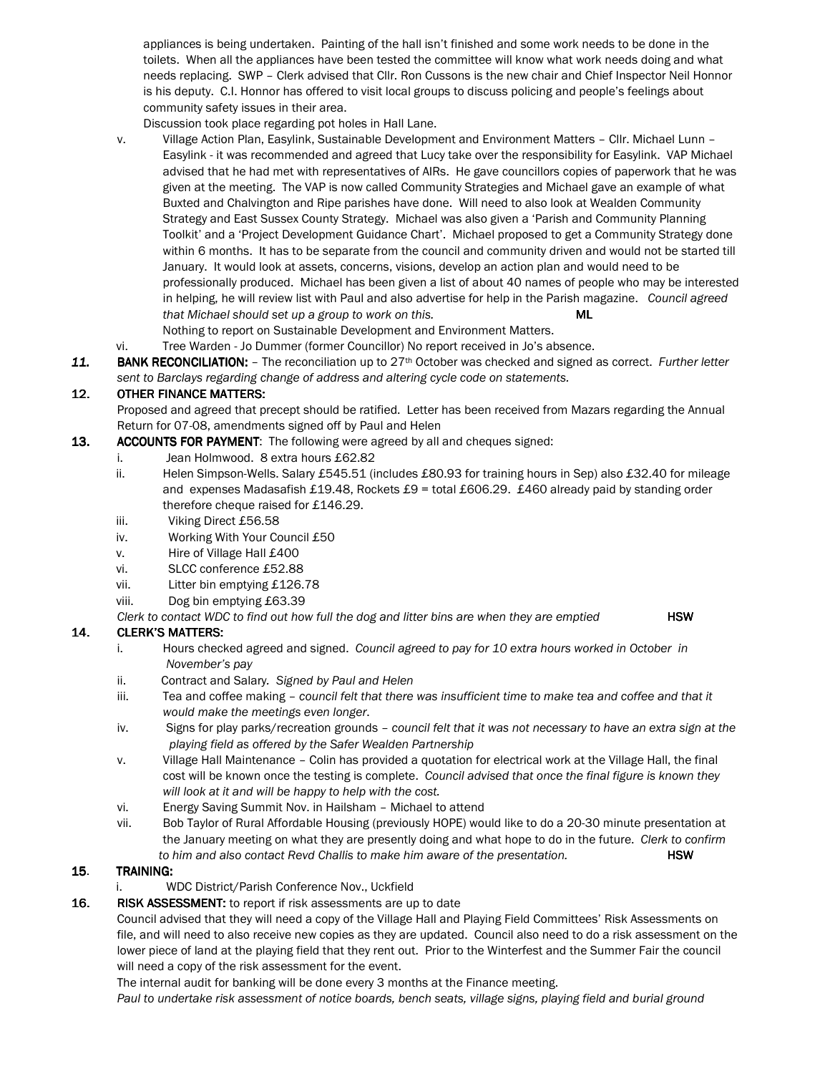appliances is being undertaken. Painting of the hall isn't finished and some work needs to be done in the toilets. When all the appliances have been tested the committee will know what work needs doing and what needs replacing. SWP – Clerk advised that Cllr. Ron Cussons is the new chair and Chief Inspector Neil Honnor is his deputy. C.I. Honnor has offered to visit local groups to discuss policing and people's feelings about community safety issues in their area.

Discussion took place regarding pot holes in Hall Lane.

- v. Village Action Plan, Easylink, Sustainable Development and Environment Matters Cllr. Michael Lunn Easylink - it was recommended and agreed that Lucy take over the responsibility for Easylink. VAP Michael advised that he had met with representatives of AIRs. He gave councillors copies of paperwork that he was given at the meeting. The VAP is now called Community Strategies and Michael gave an example of what Buxted and Chalvington and Ripe parishes have done. Will need to also look at Wealden Community Strategy and East Sussex County Strategy. Michael was also given a 'Parish and Community Planning Toolkit' and a 'Project Development Guidance Chart'. Michael proposed to get a Community Strategy done within 6 months. It has to be separate from the council and community driven and would not be started till January. It would look at assets, concerns, visions, develop an action plan and would need to be professionally produced. Michael has been given a list of about 40 names of people who may be interested in helping, he will review list with Paul and also advertise for help in the Parish magazine. Council agreed that Michael should set up a group to work on this. ML Nothing to report on Sustainable Development and Environment Matters.
- vi. Tree Warden Jo Dummer (former Councillor) No report received in Jo's absence.
- 11. BANK RECONCILIATION: The reconciliation up to  $27<sup>th</sup>$  October was checked and signed as correct. Further letter sent to Barclays regarding change of address and altering cycle code on statements.

## 12. OTHER FINANCE MATTERS:

Proposed and agreed that precept should be ratified. Letter has been received from Mazars regarding the Annual Return for 07-08, amendments signed off by Paul and Helen

- 13. ACCOUNTS FOR PAYMENT: The following were agreed by all and cheques signed:
	- i. Jean Holmwood. 8 extra hours £62.82
	- ii. Helen Simpson-Wells. Salary £545.51 (includes £80.93 for training hours in Sep) also £32.40 for mileage and expenses Madasafish £19.48, Rockets £9 = total £606.29. £460 already paid by standing order therefore cheque raised for £146.29.
	- iii. Viking Direct £56.58
	- iv. Working With Your Council £50
	- v. Hire of Village Hall £400
	- vi. SLCC conference £52.88
	- vii. Litter bin emptying £126.78
	- viii. Dog bin emptying £63.39

Clerk to contact WDC to find out how full the dog and litter bins are when they are emptied  $HSW$ 

### 14. CLERK'S MATTERS:

- i. Hours checked agreed and signed. Council agreed to pay for 10 extra hours worked in October in November's pay
- ii. Contract and Salary. Signed by Paul and Helen
- iii. Tea and coffee making council felt that there was insufficient time to make tea and coffee and that it would make the meetings even longer.
- iv. Signs for play parks/recreation grounds council felt that it was not necessary to have an extra sign at the playing field as offered by the Safer Wealden Partnership
- v. Village Hall Maintenance Colin has provided a quotation for electrical work at the Village Hall, the final cost will be known once the testing is complete. Council advised that once the final figure is known they will look at it and will be happy to help with the cost.
- vi. Energy Saving Summit Nov. in Hailsham Michael to attend
- vii. Bob Taylor of Rural Affordable Housing (previously HOPE) would like to do a 20-30 minute presentation at the January meeting on what they are presently doing and what hope to do in the future. Clerk to confirm to him and also contact Revd Challis to make him aware of the presentation. **HSW**

### 15. TRAINING:

i. WDC District/Parish Conference Nov., Uckfield

### 16. RISK ASSESSMENT: to report if risk assessments are up to date

 Council advised that they will need a copy of the Village Hall and Playing Field Committees' Risk Assessments on file, and will need to also receive new copies as they are updated. Council also need to do a risk assessment on the lower piece of land at the playing field that they rent out. Prior to the Winterfest and the Summer Fair the council will need a copy of the risk assessment for the event.

The internal audit for banking will be done every 3 months at the Finance meeting.

Paul to undertake risk assessment of notice boards, bench seats, village signs, playing field and burial ground